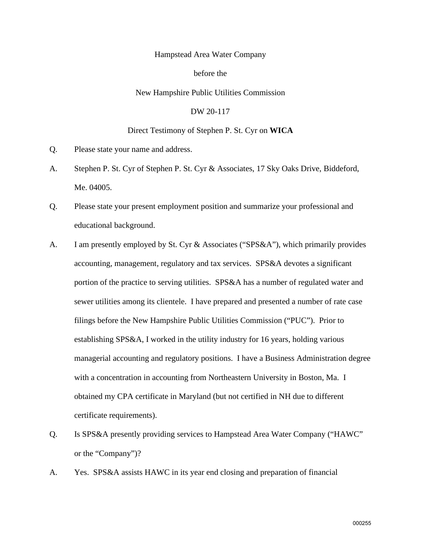# Hampstead Area Water Company

#### before the

#### New Hampshire Public Utilities Commission

## DW 20-117

## Direct Testimony of Stephen P. St. Cyr on **WICA**

- Q. Please state your name and address.
- A. Stephen P. St. Cyr of Stephen P. St. Cyr & Associates, 17 Sky Oaks Drive, Biddeford, Me. 04005.
- Q. Please state your present employment position and summarize your professional and educational background.
- A. I am presently employed by St. Cyr & Associates ("SPS&A"), which primarily provides accounting, management, regulatory and tax services. SPS&A devotes a significant portion of the practice to serving utilities. SPS&A has a number of regulated water and sewer utilities among its clientele. I have prepared and presented a number of rate case filings before the New Hampshire Public Utilities Commission ("PUC"). Prior to establishing SPS&A, I worked in the utility industry for 16 years, holding various managerial accounting and regulatory positions. I have a Business Administration degree with a concentration in accounting from Northeastern University in Boston, Ma. I obtained my CPA certificate in Maryland (but not certified in NH due to different certificate requirements).
- Q. Is SPS&A presently providing services to Hampstead Area Water Company ("HAWC" or the "Company")?
- A. Yes. SPS&A assists HAWC in its year end closing and preparation of financial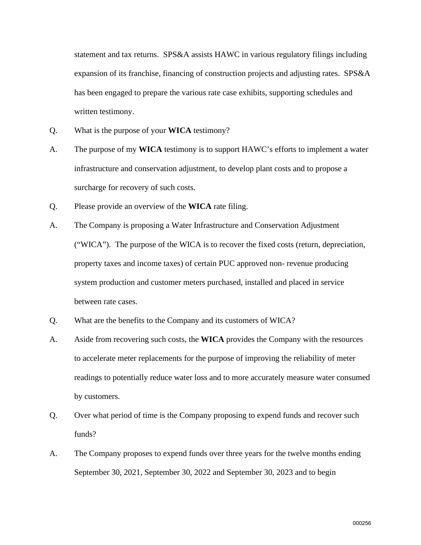statement and tax returns. SPS&A assists HAWC in various regulatory filings including expansion of its franchise, financing of construction projects and adjusting rates. SPS&A has been engaged to prepare the various rate case exhibits, supporting schedules and written testimony.

- Q. What is the purpose of your **WICA** testimony?
- A. The purpose of my **WICA** testimony is to support HAWC's efforts to implement a water infrastructure and conservation adjustment, to develop plant costs and to propose a surcharge for recovery of such costs.
- Q. Please provide an overview of the **WICA** rate filing.
- A. The Company is proposing a Water Infrastructure and Conservation Adjustment ("WICA"). The purpose of the WICA is to recover the fixed costs (return, depreciation, property taxes and income taxes) of certain PUC approved non- revenue producing system production and customer meters purchased, installed and placed in service between rate cases.
- Q. What are the benefits to the Company and its customers of WICA?
- A. Aside from recovering such costs, the **WICA** provides the Company with the resources to accelerate meter replacements for the purpose of improving the reliability of meter readings to potentially reduce water loss and to more accurately measure water consumed by customers.
- Q. Over what period of time is the Company proposing to expend funds and recover such funds?
- A. The Company proposes to expend funds over three years for the twelve months ending September 30, 2021, September 30, 2022 and September 30, 2023 and to begin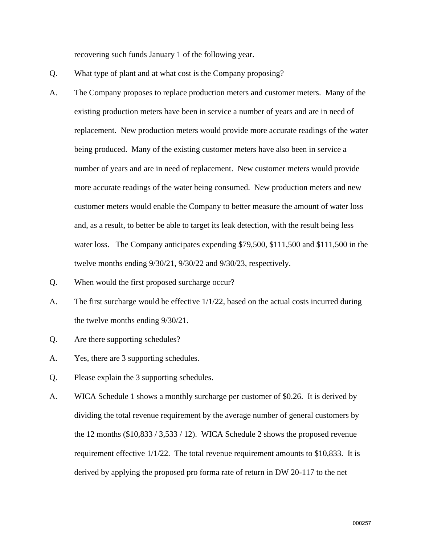recovering such funds January 1 of the following year.

- Q. What type of plant and at what cost is the Company proposing?
- A. The Company proposes to replace production meters and customer meters. Many of the existing production meters have been in service a number of years and are in need of replacement. New production meters would provide more accurate readings of the water being produced. Many of the existing customer meters have also been in service a number of years and are in need of replacement. New customer meters would provide more accurate readings of the water being consumed. New production meters and new customer meters would enable the Company to better measure the amount of water loss and, as a result, to better be able to target its leak detection, with the result being less water loss. The Company anticipates expending \$79,500, \$111,500 and \$111,500 in the twelve months ending 9/30/21, 9/30/22 and 9/30/23, respectively.
- Q. When would the first proposed surcharge occur?
- A. The first surcharge would be effective  $1/1/22$ , based on the actual costs incurred during the twelve months ending 9/30/21.
- Q. Are there supporting schedules?
- A. Yes, there are 3 supporting schedules.
- Q. Please explain the 3 supporting schedules.
- A. WICA Schedule 1 shows a monthly surcharge per customer of \$0.26. It is derived by dividing the total revenue requirement by the average number of general customers by the 12 months  $(\$10,833 / 3,533 / 12)$ . WICA Schedule 2 shows the proposed revenue requirement effective 1/1/22. The total revenue requirement amounts to \$10,833. It is derived by applying the proposed pro forma rate of return in DW 20-117 to the net